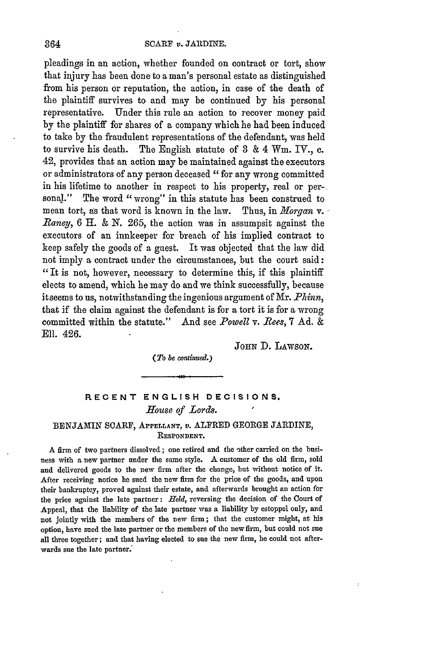## SCARF *v.* JARDINE.

pleadings in an action, whether founded on contract or tort, show that injury has been done to a man's personal estate as distinguished from his person or reputation, the action, in case of the death of the plaintiff survives to and may be continued by his personal representative. Under this rule an action to recover money paid by the plaintiff for shares of a company which he had been induced to take by the fraudulent representations of the defendant, was held to survive his death. The English statute of **3** & 4 Win. IV., **c.** 42, provides that an action may be maintained against the executors or administrators of any person deceased "for any wrong committed in his lifetime to another in respect to his property, real or personal." The word "wrong" in this statute has been construed to mean tort, as that word is known in the law. Thus, in *Morgan v. Baney,* 6 **H.** & *N.* 265, the action was in assumpsit against the executors of an innkeeper for breach of his implied contract to keep safely the goods of a guest. It was objected that the law did not imply a contract under the circumstances, but the court said: **"It** is not, however, necessary to determine this, if this plaintiff elects to amend, which he may do and we think successfully, because itseems to us, notwithstanding the ingenious argument of Mr. *Phinn,* that if the claim against the defendant is for a tort it is for a wrong committed within the statute." And see *Powell v. Bees,* **7** Ad. & Ell. 426.

JOHN D. LAWSON.

*(To be continued.)*

## RECENT **ENGLISH DECISIONS.** *House of Lords.*

## BENJAMIN SCARF, **APPELLANT,** *V.* ALFRED GEORGE JARDINE, **RESPONDENT.**

A firm of two partners dissolved; one retired and the other carried on the business with a new partner under the same style. **A** customer of the old firm, sold and delivered goods to the new firm after the change, **but** without notice of it. After receiving notice he sued the new firm for the price of the goods, and upon their bankruptcy, proved against their estate, and afterwards brought an action for the price against the late partner: *Held,* reversing the decision of the Court of Appeal, that the liability of the late partner was a liability **by** estoppel only, and not jointly with the members of the new firm; that the customer might, at his option, have sued the late partner or the members of the new firm, but could not **sue** all three together; and that having elected to sue the new firm, he could not afterwards sue the late partner.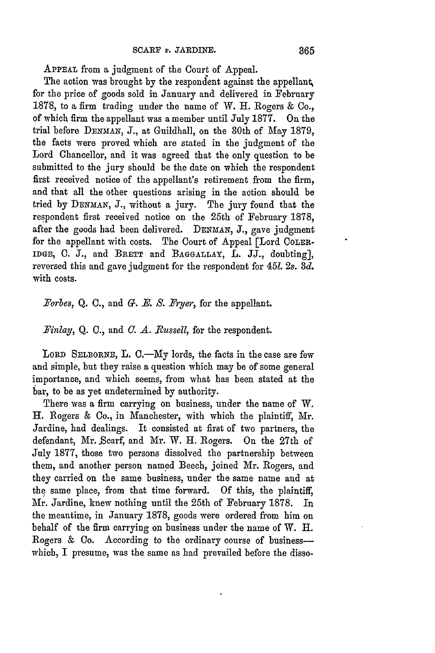APPEAL from a judgment of the Court of Appeal.

The action was brought **by** the respondent against the appellant, for the price of goods sold in January and delivered in February 1878, to a firm trading under the name of W. H. Rogers & Co., of which firm the appellant was a member until July 1877. On the trial before **DENMAN,** J., at Guildhall, on the 30th of May 1879, the facts were proved which are stated in the judgment of the Lord Chancellor, and it was agreed that the only question to be submitted to the jury should be the date on which the respondent first received notice of the appellant's retirement from the firm, and that all the other questions arising in the action should be tried by *DENMAN,* J., without a jury. The jury found that the respondent first received notice on the 25th of February 1878, after the goods had been delivered. DENMAN, J., gave judgment for the appellant with costs. The Court of Appeal [Lord COLER-IDGE, **C.** J., and **BRETT** and **BAGGALLAY,** L. JJ., doubting], reversed this and gave judgment for the respondent for 451. 2s. *3d.* with costs.

## *Forbes, Q. C., and G. E. S. Fryer, for the appellant.*

*Finlay,* Q. **C.,** and *C. A. Russell,* for the respondent.

LORD SELBORNE, L. C.-My lords, the facts in the case are few and simple, but they raise a question which may be of some general importance, and which seems, from what has been stated at the bar, to be as yet undetermined by authority.

There was a firm carrying on business, under the name of W. H. Rogers & Co., in Manchester, with which the plaintiff, Mr. Jardine, had dealings. It consisted at first of two partners, the defendant, Mr. Scarf, and Mr. W. H. Rogers. On the 27th of July 1877, those two persons dissolved the partnership between them, and another person named Beech, joined Mr. Rogers, and they carried on the same business, under the same name and at the same place, from that time forward. Of this, the plaintiff, Mr. Jardine, knew nothing until the 25th of February 1878. In the meantime, in January 1878, goods were ordered from him on behalf of the firm carrying on business under the name of W. H. Rogers & Co. According to the ordinary course of businesswhich, I presume, was the same as had prevailed before the disso-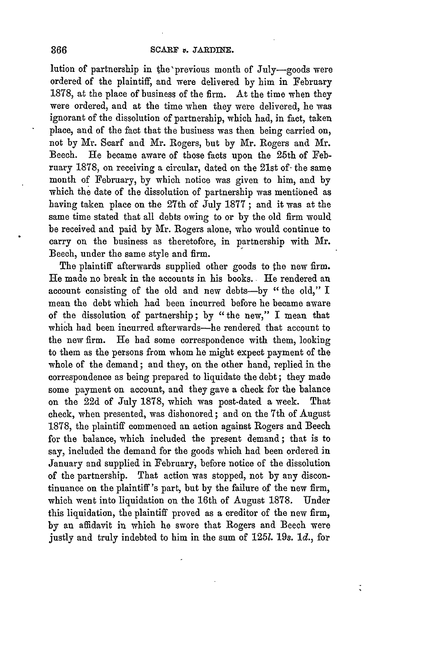lution of partnership in the previous month of July-goods were ordered of the plaintiff, and were delivered by him in February 1878, at the place of business of the firm. At the time when they were ordered, and at the time when they were delivered, he was ignorant of the dissolution of partnership, which had, in fact, taken place, and of the fact that the business was then being carried on, not by Mr. Scarf and Mr. Rogers, but by Mr. Rogers and Mr. Beech. He became aware of those facts upon the 25th of February 1878, on receiving a circular, dated on the  $21st$  of the same month of February, by which notice was given to him, and by which the date of the dissolution of partnership was mentioned as having taken place on the 27th of July 1877 ; and it was at the same time stated that all debts owing to or by the old firm would be received and paid by Mr. Rogers alone, who would continue to carry on the business as theretofore, in partnership with Mr. Beech, under the same style and firm.

The plaintiff afterwards supplied other goods to the new firm. He made no break in the accounts in his books. He rendered an account consisting of the old and new debts-by "the old," I mean the debt which had been incurred before he became aware of the dissolution of partnership; by "the new," I mean that which had been incurred afterwards-he rendered that account to the new firm. He bad some correspondence with them, looking to them as the persons from whom he might expect payment of the whole of the demand; and they, on the other hand, replied in the correspondence as being prepared to liquidate the debt; they made some payment on account, and they gave a check for the balance on the **22d** of July 1878, which was post-dated a week. That check, when presented, was dishonored; and on the 7th of August 1878, the plaintiff commenced an action against Rogers and Beech for the balance, which included the present demand; that is to say, included the demand for the goods which had been ordered in January and supplied in February, before notice of the dissolution of the partnership. That action was stopped, not by any discontinuance on the plaintiff's part, but by the failure of the new firm, which went into liquidation on the 16th of August 1878. Under this liquidation, the plaintiff proved as a creditor of the new firm, by an affidavit in which he swore that Rogers and Beech were justly and truly indebted to him in the sum of 125*l*. 19s. 1d., for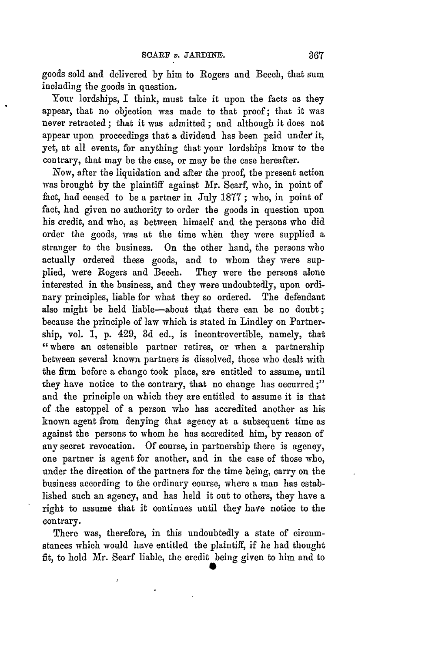goods sold and delivered by him to Rogers and Beech, that sum including the goods in question.

Your lordships, I think, must take it upon the facts as they appear, that no objection was made to that proof; that it was never retracted; that it was admitted; and although it does not appear upon proceedings that a dividend has been paid under it, yet, at all events, for anything that your lordships know to the contrary, that may be the case, or may be the case hereafter.

Now, after the liquidation and after the proof, the present action was brought by the plaintiff against Mr. Scarf, who, in point of fact, had ceased to be a partner in July **1877** ; who, in point of fact, had given no authority to order the goods in question upon his credit, and who, as between himself and the persons who did order the goods, was at the time when they were supplied a stranger to the business. On the other hand, the persons who actually ordered these goods, and to whom they were supplied, were Rogers and Beech. They were the persons alone interested in the business, and they were undoubtedly, upon ordinary principles, liable for what they so ordered. The defendant also might be held liable-about that there can be no doubt; because the principle of law which is stated in Lindley on Partnership, vol. 1, p. 429, 3d ed., is incontrovertible, namely, that "where an ostensible partner retires, or when a partnership between several known partners is dissolved, those who dealt with the firm before a change took place, are entitled to assume, until they have notice to the contrary, that no change has occurred ;" and the principle on which they are entitled to assume it is that of .the estoppel of a person who has accredited another as his known agent from denying that agency at a subsequent time as against the persons to whom he has accredited him, by reason of any secret revocation. Of course, in partnership there is agency, one partner is agent for another, and in the case of those who, under the direction of the partners for the time being, carry on the business according to the ordinary course, where a man has established such an agency, and has held it out to others, they have a right to assume that it continues until they have notice to the contrary.

There was, therefore, in this undoubtedly a state of circumstances which would have entitled the plaintiff, if he had thought fit, to hold Mr. Scarf liable, the credit being given to him and to

Í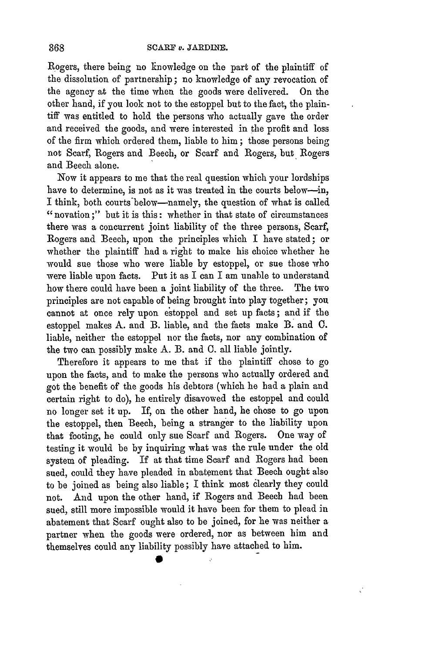Rogers, there being no 'knowledge on the part of the plaintiff of the dissolution of partnership; no knowledge of any revocation of the agency at the time when the goods were delivered. On the other hand, if you look not to the estoppel but to the fact, the plaintiff was entitled to hold the persons who actually gave the order and received the goods, and were interested in the profit and loss of the firm which ordered them, liable to him; those persons being not Scarf, Rogers and Beech, or Scarf and Rogers, but Rogers and Beech alone.

Now it appears to me that the real question which your lordships have to determine, is not as it was treated in the courts below-in, I think, both courts'below-namely, the question of what is called " novation;" but it is this: whether in that state of circumstances there was a concurrent joint liability of the three persons, Scarf, Rogers and Beech, upon the principles which I have stated; or whether the plaintiff had a right to make his choice whether he would sue those who were liable by estoppel, or sue those who were liable upon facts. Put it as I can I am unable to understand how there could have been a joint liability of the three. The two principles are not capable of being brought into play together; you cannot at once rely upon estoppel and set up facts; and if the estoppel makes **A.** and B. liable, and the facts make B. and **C.** liable, neither the estoppel nor the facts, nor any combination of the two can possibly make **A.** B. and **C.** all liable jointly.

Therefore it appears to me that if the plaintiff chose to go upon the facts, and to make the persons who actually ordered and got the benefit of the goods his debtors (which he **had** a plain and certain right to do), he entirely disavowed the estoppel and could no longer set it up. If, on the other hand, he chose to go upon the estoppel, then Beech, being a stranger to the liability upon that footing, he could only sue Scarf and Rogers. One way of testing it would be **by** inquiring what was the rule under the old system of pleading. If at that time Scarf and Rogers had been sued, could they have pleaded in abatement that Beech ought also to be joined as being also liable; I think most clearly they could not. And upon the other hand, if Rogers and Beech had been sued, still more impossible would it have been for them to plead in abatement that Scarf ought also to be joined, for he was neither a partner when the goods were ordered, nor as between him and themselves could any liability possibly have attached to him.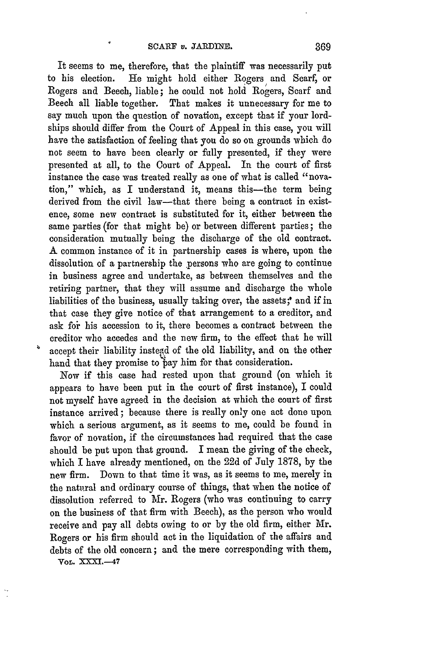It seems to me, therefore, that the plaintiff was necessarily put to his election. **He** might hold either Rogers and Scarf, or Rogers and Beech, liable; he could not hold Rogers, Scarf and Beech all liable together. That makes it unnecessary for me to say much upon the question of novation, except that if your lordships should differ from the Court of Appeal in this case, you will have the satisfaction of feeling that you do so on grounds which do not seem to have been clearly or fully presented, if they were presented at all, to the Court of Appeal. In the court of first instance the case was treated really as one of what is called "novation," which, as I understand it, means this-the term being derived from the civil law-that there being a contract in existence, some new contract is substituted for it, either between the same parties (for that might be) or between different parties; the consideration mutually being the discharge of the old contract. A common instance of it in partnership cases is where, upon the dissolution of a partnership the persons who are going to continue in business agree and undertake, as between themselves and the retiring partner, that they will assume and discharge the whole liabilities of the business, usually taking over, the assets;' and if in that case they give notice of that arrangement to a creditor, and ask **for** his accession to it, there becomes a contract between the creditor who accedes and the new firm, to the effect that he will accept their liability instegd of the old liability, and on the other hand that they promise to pay him for that consideration.

Now if this case had rested upon that ground (on which it appears to have been put in the court of first instance), I could not myself have agreed in the decision at which the court of first instance arrived ; because there is really only one act done upon which a serious argument, as it seems to me, could be found in favor of novation, if the circumstances had required that the case should be put upon that ground. I mean the giving of the check, which I have already mentioned, on the **22d** of July 1878, by the new firm. Down to that time it was, as it seems to me, merely in the natural and ordinary course of things, that when the notice of dissolution referred to Mr. Rogers (who was continuing to carry on the business of that firm with Beech), as the person who would receive and pay all debts owing to or by the old firm, either Mr. Rogers or his firm should act in the liquidation of the affairs and debts of the old concern; and the mere corresponding with them,  $V$ OL. XXXI.-47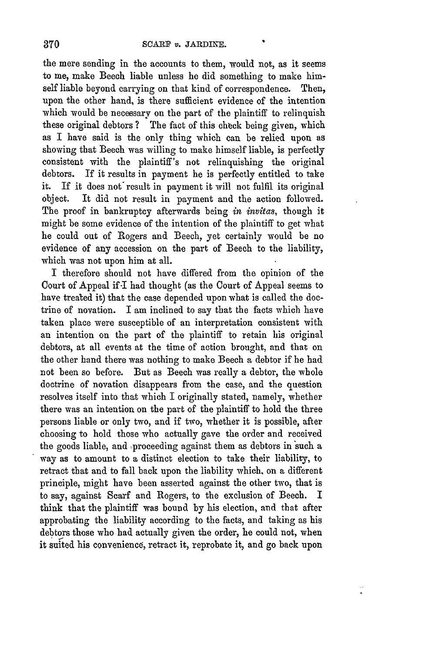the mere sending in the accounts to them, would not, as it seems to me, make Beech liable unless he did something to make himself liable beyond carrying on that kind of correspondence. Then, upon the other hand, is there sufficient evidence of the intention which would be necessary on the part of the plaintiff to relinquish these original debtors ? The fact of this check being given, which as I have said is the only thing which can be relied upon as showing that Beech was willing to make himself liable, is perfectly consistent with the plaintiff's not relinquishing the original debtors. If it results in payment he is perfectly entitled to take it. If it does not result in payment it will not fulfil its original object. It did not result in payment and the action followed. The proof in bankruptcy afterwards being *in invitas,* though it might be some evidence of the intention of the plaintiff to get what he could out of Rogers and Beech, yet certainly would be no evidence of any accession on the part of Beech to the liability, which was not upon him at all.

I therefore should not have differed from the opinion of the Court of Appeal if -I had thought (as the Court of Appeal seems to have treated it) that the case depended upon what is called the doctrine of novation. I am inclined to say that the facts which have taken place were susceptible of an interpretation consistent with an intention on the part of the plaintiff to retain his original debtors, at all events at the time of action brought, and that on the other hand there was nothing to make Beech a debtor if he had not been so before. But as Beech was really a debtor, the whole doctrine of novation disappears from the case, and the question resolves itself into that which I originally stated, namely, whether there was an intention on the part of the plaintiff to hold the three persons liable or only two, and if two, whether it is possible, after choosing to hold those who actually gave the order and received the goods liable, and ,proceeding against them as debtors in'such a way as to amount to a distinct election to take their liability, to retract that and to fall back upon the liability which, on a different principle, might have been asserted against the other two, that is to say, against Scarf and Rogers, to the exclusion of Beech. I think that the plaintiff was bound by his election, and that after approbating the liability according to the facts, and taking as his debtors those who had actually given the order, he could not, when it suited his convenience, retract it, reprobate it, and go back upon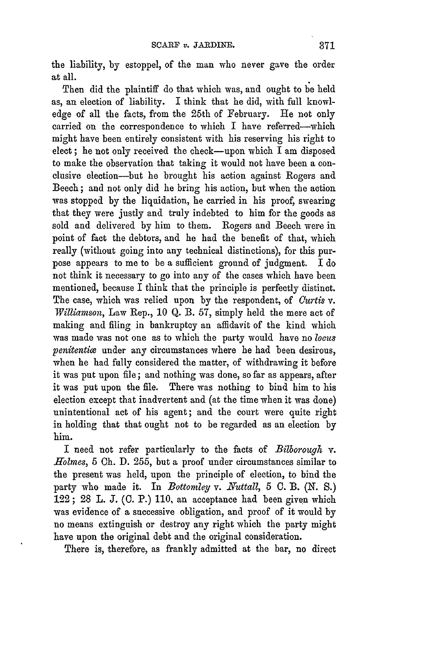the liability, by estoppel, of the man who never gave the order at all.

Then did the plaintiff do that which was, and ought to be held as, an election of liability. I think that he did, with full knowledge of all the facts, from the 25th of February. He not only carried on the correspondence to which I have referred-which might have been entirely consistent with his reserving his right to elect; he not only received the check-upon which  $\tilde{I}$  am disposed to make the observation that taking it would not have been a conclusive election-but he brought his action against Rogers and Beech; and not only did he bring his action, but when the action was stopped by the liquidation, he carried in his proof, swearing that they were justly and truly indebted to him for the goods as sold and delivered by him to them. Rogers and Beech were in point of fact the debtors, and he had the benefit of that, which really (without going into any technical distinctions), for this purpose appears to me to be a sufficient ground of judgment. I do not think it necessary to go into any of the cases which have been mentioned, because I think that the principle is perfectly distinct. The case, which was relied upon by the respondent, of *Curtis v. Williamson,* Law Rep., 10 Q. B. 57, simply held the mere act of making and filing in bankruptcy an affidavit of the kind which was made was not one as to which the party would have no *locus penitentice* under any circumstances where he had been desirous, when he had fully considered the matter, of withdrawing it before it was put upon file; and nothing was done, so far as appears, after it was put upon the file. There was nothing to bind him to his election except that inadvertent and (at the time when it was done) unintentional act of his agent; and the court were quite right in holding that that ought not to be regarded as an election by him.

I need not refer particularly to the facts of *Bilborough v. Holmes,* 5 Oh. D. 255, but a proof under circumstances similar to the present was held, upon the principle of election, to bind the party who made it. In *Bottomley v. Nuttall*, 5 C. B. (N. S.) 122; **28** L. **J. (0.** P.) **110,** an acceptance had been given which was evidence of a successive obligation, and proof of it would by no means extinguish or destroy any right which the party might have upon the original debt and the original consideration.

There is, therefore, as frankly admitted at the bar, no direct